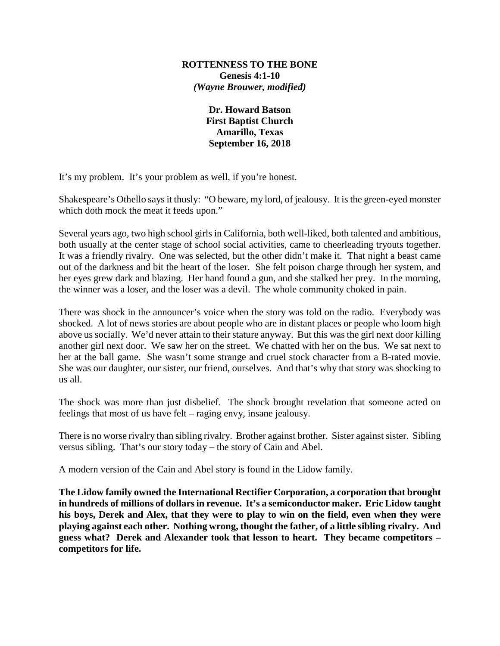## **ROTTENNESS TO THE BONE Genesis 4:1-10** *(Wayne Brouwer, modified)*

**Dr. Howard Batson First Baptist Church Amarillo, Texas September 16, 2018**

It's my problem. It's your problem as well, if you're honest.

Shakespeare's Othello says it thusly: "O beware, my lord, of jealousy. It is the green-eyed monster which doth mock the meat it feeds upon."

Several years ago, two high school girls in California, both well-liked, both talented and ambitious, both usually at the center stage of school social activities, came to cheerleading tryouts together. It was a friendly rivalry. One was selected, but the other didn't make it. That night a beast came out of the darkness and bit the heart of the loser. She felt poison charge through her system, and her eyes grew dark and blazing. Her hand found a gun, and she stalked her prey. In the morning, the winner was a loser, and the loser was a devil. The whole community choked in pain.

There was shock in the announcer's voice when the story was told on the radio. Everybody was shocked. A lot of news stories are about people who are in distant places or people who loom high above us socially. We'd never attain to their stature anyway. But this was the girl next door killing another girl next door. We saw her on the street. We chatted with her on the bus. We sat next to her at the ball game. She wasn't some strange and cruel stock character from a B-rated movie. She was our daughter, our sister, our friend, ourselves. And that's why that story was shocking to us all.

The shock was more than just disbelief. The shock brought revelation that someone acted on feelings that most of us have felt – raging envy, insane jealousy.

There is no worse rivalry than sibling rivalry. Brother against brother. Sister against sister. Sibling versus sibling. That's our story today – the story of Cain and Abel.

A modern version of the Cain and Abel story is found in the Lidow family.

**The Lidow family owned the International Rectifier Corporation, a corporation that brought in hundreds of millions of dollars in revenue. It's a semiconductor maker. Eric Lidow taught his boys, Derek and Alex, that they were to play to win on the field, even when they were playing against each other. Nothing wrong, thought the father, of a little sibling rivalry. And guess what? Derek and Alexander took that lesson to heart. They became competitors – competitors for life.**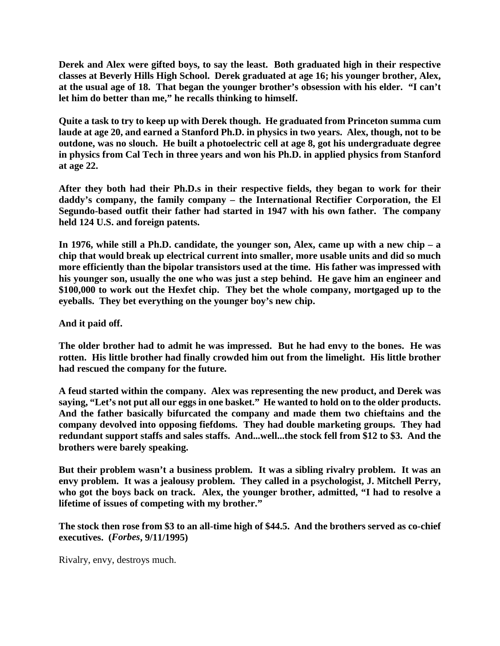**Derek and Alex were gifted boys, to say the least. Both graduated high in their respective classes at Beverly Hills High School. Derek graduated at age 16; his younger brother, Alex, at the usual age of 18. That began the younger brother's obsession with his elder. "I can't let him do better than me," he recalls thinking to himself.**

**Quite a task to try to keep up with Derek though. He graduated from Princeton summa cum laude at age 20, and earned a Stanford Ph.D. in physics in two years. Alex, though, not to be outdone, was no slouch. He built a photoelectric cell at age 8, got his undergraduate degree in physics from Cal Tech in three years and won his Ph.D. in applied physics from Stanford at age 22.**

**After they both had their Ph.D.s in their respective fields, they began to work for their daddy's company, the family company – the International Rectifier Corporation, the El Segundo-based outfit their father had started in 1947 with his own father. The company held 124 U.S. and foreign patents.** 

**In 1976, while still a Ph.D. candidate, the younger son, Alex, came up with a new chip – a chip that would break up electrical current into smaller, more usable units and did so much more efficiently than the bipolar transistors used at the time. His father was impressed with his younger son, usually the one who was just a step behind. He gave him an engineer and \$100,000 to work out the Hexfet chip. They bet the whole company, mortgaged up to the eyeballs. They bet everything on the younger boy's new chip.**

**And it paid off.**

**The older brother had to admit he was impressed. But he had envy to the bones. He was rotten. His little brother had finally crowded him out from the limelight. His little brother had rescued the company for the future.**

**A feud started within the company. Alex was representing the new product, and Derek was saying, "Let's not put all our eggs in one basket." He wanted to hold on to the older products. And the father basically bifurcated the company and made them two chieftains and the company devolved into opposing fiefdoms. They had double marketing groups. They had redundant support staffs and sales staffs. And...well...the stock fell from \$12 to \$3. And the brothers were barely speaking.**

**But their problem wasn't a business problem. It was a sibling rivalry problem. It was an envy problem. It was a jealousy problem. They called in a psychologist, J. Mitchell Perry, who got the boys back on track. Alex, the younger brother, admitted, "I had to resolve a lifetime of issues of competing with my brother."**

**The stock then rose from \$3 to an all-time high of \$44.5. And the brothers served as co-chief executives. (***Forbes***, 9/11/1995)**

Rivalry, envy, destroys much.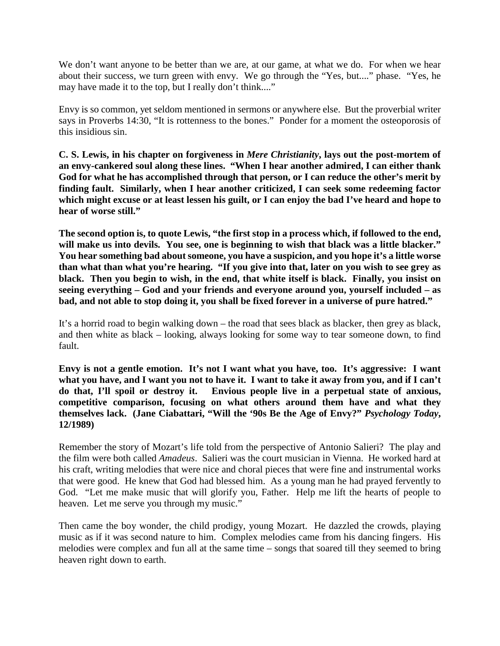We don't want anyone to be better than we are, at our game, at what we do. For when we hear about their success, we turn green with envy. We go through the "Yes, but...." phase. "Yes, he may have made it to the top, but I really don't think...."

Envy is so common, yet seldom mentioned in sermons or anywhere else. But the proverbial writer says in Proverbs 14:30, "It is rottenness to the bones." Ponder for a moment the osteoporosis of this insidious sin.

**C. S. Lewis, in his chapter on forgiveness in** *Mere Christianity***, lays out the post-mortem of an envy-cankered soul along these lines. "When I hear another admired, I can either thank God for what he has accomplished through that person, or I can reduce the other's merit by finding fault. Similarly, when I hear another criticized, I can seek some redeeming factor which might excuse or at least lessen his guilt, or I can enjoy the bad I've heard and hope to hear of worse still."**

**The second option is, to quote Lewis, "the first stop in a process which, if followed to the end, will make us into devils. You see, one is beginning to wish that black was a little blacker." You hear something bad about someone, you have a suspicion, and you hope it's a little worse than what than what you're hearing. "If you give into that, later on you wish to see grey as black. Then you begin to wish, in the end, that white itself is black. Finally, you insist on seeing everything – God and your friends and everyone around you, yourself included – as bad, and not able to stop doing it, you shall be fixed forever in a universe of pure hatred."**

It's a horrid road to begin walking down – the road that sees black as blacker, then grey as black, and then white as black – looking, always looking for some way to tear someone down, to find fault.

**Envy is not a gentle emotion. It's not I want what you have, too. It's aggressive: I want what you have, and I want you not to have it. I want to take it away from you, and if I can't do that, I'll spoil or destroy it. Envious people live in a perpetual state of anxious, competitive comparison, focusing on what others around them have and what they themselves lack. (Jane Ciabattari, "Will the '90s Be the Age of Envy?"** *Psychology Today***, 12/1989)**

Remember the story of Mozart's life told from the perspective of Antonio Salieri? The play and the film were both called *Amadeus*. Salieri was the court musician in Vienna. He worked hard at his craft, writing melodies that were nice and choral pieces that were fine and instrumental works that were good. He knew that God had blessed him. As a young man he had prayed fervently to God. "Let me make music that will glorify you, Father. Help me lift the hearts of people to heaven. Let me serve you through my music."

Then came the boy wonder, the child prodigy, young Mozart. He dazzled the crowds, playing music as if it was second nature to him. Complex melodies came from his dancing fingers. His melodies were complex and fun all at the same time – songs that soared till they seemed to bring heaven right down to earth.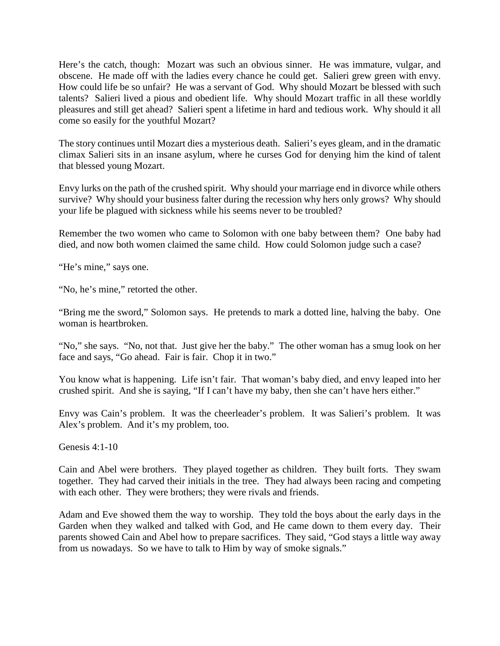Here's the catch, though: Mozart was such an obvious sinner. He was immature, vulgar, and obscene. He made off with the ladies every chance he could get. Salieri grew green with envy. How could life be so unfair? He was a servant of God. Why should Mozart be blessed with such talents? Salieri lived a pious and obedient life. Why should Mozart traffic in all these worldly pleasures and still get ahead? Salieri spent a lifetime in hard and tedious work. Why should it all come so easily for the youthful Mozart?

The story continues until Mozart dies a mysterious death. Salieri's eyes gleam, and in the dramatic climax Salieri sits in an insane asylum, where he curses God for denying him the kind of talent that blessed young Mozart.

Envy lurks on the path of the crushed spirit. Why should your marriage end in divorce while others survive? Why should your business falter during the recession why hers only grows? Why should your life be plagued with sickness while his seems never to be troubled?

Remember the two women who came to Solomon with one baby between them? One baby had died, and now both women claimed the same child. How could Solomon judge such a case?

"He's mine," says one.

"No, he's mine," retorted the other.

"Bring me the sword," Solomon says. He pretends to mark a dotted line, halving the baby. One woman is heartbroken.

"No," she says. "No, not that. Just give her the baby." The other woman has a smug look on her face and says, "Go ahead. Fair is fair. Chop it in two."

You know what is happening. Life isn't fair. That woman's baby died, and envy leaped into her crushed spirit. And she is saying, "If I can't have my baby, then she can't have hers either."

Envy was Cain's problem. It was the cheerleader's problem. It was Salieri's problem. It was Alex's problem. And it's my problem, too.

Genesis 4:1-10

Cain and Abel were brothers. They played together as children. They built forts. They swam together. They had carved their initials in the tree. They had always been racing and competing with each other. They were brothers; they were rivals and friends.

Adam and Eve showed them the way to worship. They told the boys about the early days in the Garden when they walked and talked with God, and He came down to them every day. Their parents showed Cain and Abel how to prepare sacrifices. They said, "God stays a little way away from us nowadays. So we have to talk to Him by way of smoke signals."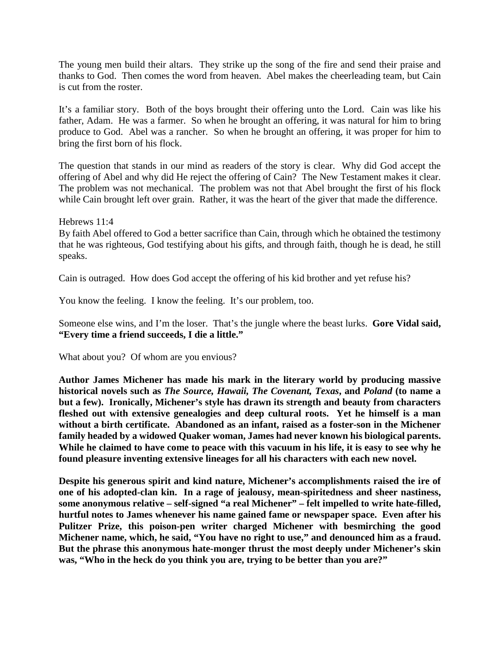The young men build their altars. They strike up the song of the fire and send their praise and thanks to God. Then comes the word from heaven. Abel makes the cheerleading team, but Cain is cut from the roster.

It's a familiar story. Both of the boys brought their offering unto the Lord. Cain was like his father, Adam. He was a farmer. So when he brought an offering, it was natural for him to bring produce to God. Abel was a rancher. So when he brought an offering, it was proper for him to bring the first born of his flock.

The question that stands in our mind as readers of the story is clear. Why did God accept the offering of Abel and why did He reject the offering of Cain? The New Testament makes it clear. The problem was not mechanical. The problem was not that Abel brought the first of his flock while Cain brought left over grain. Rather, it was the heart of the giver that made the difference.

Hebrews 11:4

By faith Abel offered to God a better sacrifice than Cain, through which he obtained the testimony that he was righteous, God testifying about his gifts, and through faith, though he is dead, he still speaks.

Cain is outraged. How does God accept the offering of his kid brother and yet refuse his?

You know the feeling. I know the feeling. It's our problem, too.

Someone else wins, and I'm the loser. That's the jungle where the beast lurks. **Gore Vidal said, "Every time a friend succeeds, I die a little."**

What about you? Of whom are you envious?

**Author James Michener has made his mark in the literary world by producing massive historical novels such as** *The Source, Hawaii, The Covenant, Texas***, and** *Poland* **(to name a but a few). Ironically, Michener's style has drawn its strength and beauty from characters fleshed out with extensive genealogies and deep cultural roots. Yet he himself is a man without a birth certificate. Abandoned as an infant, raised as a foster-son in the Michener family headed by a widowed Quaker woman, James had never known his biological parents. While he claimed to have come to peace with this vacuum in his life, it is easy to see why he found pleasure inventing extensive lineages for all his characters with each new novel.**

**Despite his generous spirit and kind nature, Michener's accomplishments raised the ire of one of his adopted-clan kin. In a rage of jealousy, mean-spiritedness and sheer nastiness, some anonymous relative – self-signed "a real Michener" – felt impelled to write hate-filled, hurtful notes to James whenever his name gained fame or newspaper space. Even after his Pulitzer Prize, this poison-pen writer charged Michener with besmirching the good Michener name, which, he said, "You have no right to use," and denounced him as a fraud. But the phrase this anonymous hate-monger thrust the most deeply under Michener's skin was, "Who in the heck do you think you are, trying to be better than you are?"**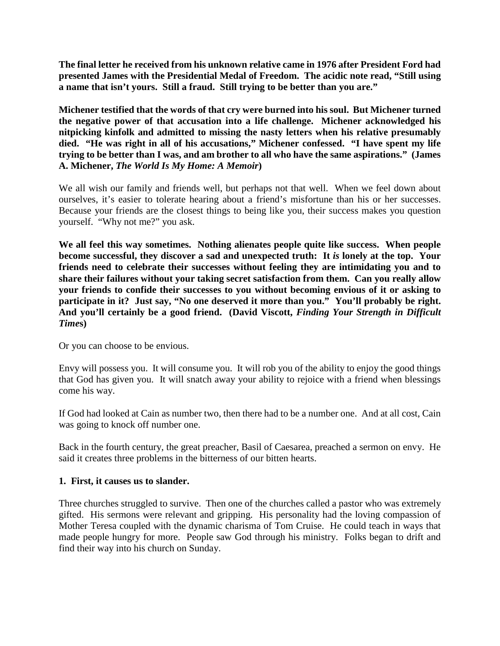**The final letter he received from his unknown relative came in 1976 after President Ford had presented James with the Presidential Medal of Freedom. The acidic note read, "Still using a name that isn't yours. Still a fraud. Still trying to be better than you are."**

**Michener testified that the words of that cry were burned into his soul. But Michener turned the negative power of that accusation into a life challenge. Michener acknowledged his nitpicking kinfolk and admitted to missing the nasty letters when his relative presumably died. "He was right in all of his accusations," Michener confessed. "I have spent my life trying to be better than I was, and am brother to all who have the same aspirations." (James A. Michener,** *The World Is My Home: A Memoir***)**

We all wish our family and friends well, but perhaps not that well. When we feel down about ourselves, it's easier to tolerate hearing about a friend's misfortune than his or her successes. Because your friends are the closest things to being like you, their success makes you question yourself. "Why not me?" you ask.

**We all feel this way sometimes. Nothing alienates people quite like success. When people become successful, they discover a sad and unexpected truth: It** *is* **lonely at the top. Your friends need to celebrate their successes without feeling they are intimidating you and to share their failures without your taking secret satisfaction from them. Can you really allow your friends to confide their successes to you without becoming envious of it or asking to participate in it? Just say, "No one deserved it more than you." You'll probably be right. And you'll certainly be a good friend. (David Viscott,** *Finding Your Strength in Difficult Time***s)**

Or you can choose to be envious.

Envy will possess you. It will consume you. It will rob you of the ability to enjoy the good things that God has given you. It will snatch away your ability to rejoice with a friend when blessings come his way.

If God had looked at Cain as number two, then there had to be a number one. And at all cost, Cain was going to knock off number one.

Back in the fourth century, the great preacher, Basil of Caesarea, preached a sermon on envy. He said it creates three problems in the bitterness of our bitten hearts.

## **1. First, it causes us to slander.**

Three churches struggled to survive. Then one of the churches called a pastor who was extremely gifted. His sermons were relevant and gripping. His personality had the loving compassion of Mother Teresa coupled with the dynamic charisma of Tom Cruise. He could teach in ways that made people hungry for more. People saw God through his ministry. Folks began to drift and find their way into his church on Sunday.